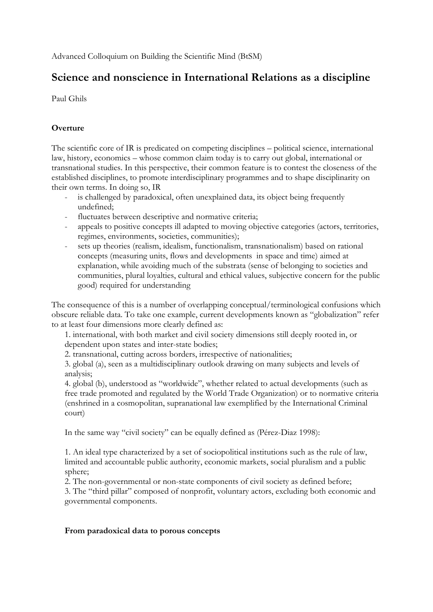Advanced Colloquium on Building the Scientific Mind (BtSM)

# **Science and nonscience in International Relations as a discipline**

Paul Ghils

## **Overture**

The scientific core of IR is predicated on competing disciplines – political science, international law, history, economics – whose common claim today is to carry out global, international or transnational studies. In this perspective, their common feature is to contest the closeness of the established disciplines, to promote interdisciplinary programmes and to shape disciplinarity on their own terms. In doing so, IR

- is challenged by paradoxical, often unexplained data, its object being frequently undefined;
- fluctuates between descriptive and normative criteria;
- appeals to positive concepts ill adapted to moving objective categories (actors, territories, regimes, environments, societies, communities);
- sets up theories (realism, idealism, functionalism, transnationalism) based on rational concepts (measuring units, flows and developments in space and time) aimed at explanation, while avoiding much of the substrata (sense of belonging to societies and communities, plural loyalties, cultural and ethical values, subjective concern for the public good) required for understanding

The consequence of this is a number of overlapping conceptual/terminological confusions which obscure reliable data. To take one example, current developments known as "globalization" refer to at least four dimensions more clearly defined as:

1. international, with both market and civil society dimensions still deeply rooted in, or dependent upon states and inter-state bodies;

2. transnational, cutting across borders, irrespective of nationalities;

3. global (a), seen as a multidisciplinary outlook drawing on many subjects and levels of analysis;

4. global (b), understood as "worldwide", whether related to actual developments (such as free trade promoted and regulated by the World Trade Organization) or to normative criteria (enshrined in a cosmopolitan, supranational law exemplified by the International Criminal court)

In the same way "civil society" can be equally defined as (Pérez-Diaz 1998):

1. An ideal type characterized by a set of sociopolitical institutions such as the rule of law, limited and accountable public authority, economic markets, social pluralism and a public sphere;

2. The non-governmental or non-state components of civil society as defined before; 3. The "third pillar" composed of nonprofit, voluntary actors, excluding both economic and governmental components.

## **From paradoxical data to porous concepts**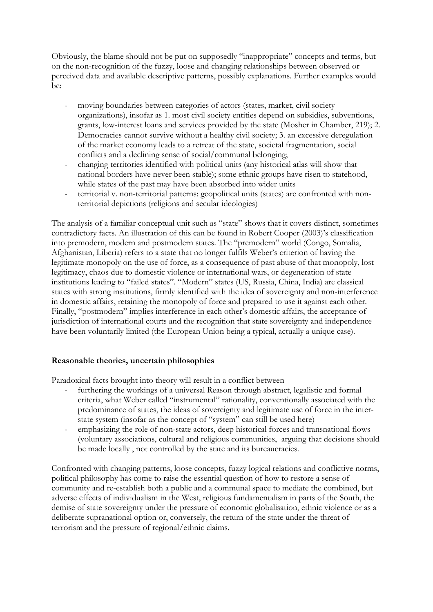Obviously, the blame should not be put on supposedly "inappropriate" concepts and terms, but on the non-recognition of the fuzzy, loose and changing relationships between observed or perceived data and available descriptive patterns, possibly explanations. Further examples would be:

- moving boundaries between categories of actors (states, market, civil society organizations), insofar as 1. most civil society entities depend on subsidies, subventions, grants, low-interest loans and services provided by the state (Mosher in Chamber, 219); 2. Democracies cannot survive without a healthy civil society; 3. an excessive deregulation of the market economy leads to a retreat of the state, societal fragmentation, social conflicts and a declining sense of social/communal belonging;
- changing territories identified with political units (any historical atlas will show that national borders have never been stable); some ethnic groups have risen to statehood, while states of the past may have been absorbed into wider units
- territorial v. non-territorial patterns: geopolitical units (states) are confronted with nonterritorial depictions (religions and secular ideologies)

The analysis of a familiar conceptual unit such as "state" shows that it covers distinct, sometimes contradictory facts. An illustration of this can be found in Robert Cooper (2003)'s classification into premodern, modern and postmodern states. The "premodern" world (Congo, Somalia, Afghanistan, Liberia) refers to a state that no longer fulfils Weber's criterion of having the legitimate monopoly on the use of force, as a consequence of past abuse of that monopoly, lost legitimacy, chaos due to domestic violence or international wars, or degeneration of state institutions leading to "failed states". "Modern" states (US, Russia, China, India) are classical states with strong institutions, firmly identified with the idea of sovereignty and non-interference in domestic affairs, retaining the monopoly of force and prepared to use it against each other. Finally, "postmodern" implies interference in each other's domestic affairs, the acceptance of jurisdiction of international courts and the recognition that state sovereignty and independence have been voluntarily limited (the European Union being a typical, actually a unique case).

### **Reasonable theories, uncertain philosophies**

Paradoxical facts brought into theory will result in a conflict between

- furthering the workings of a universal Reason through abstract, legalistic and formal criteria, what Weber called "instrumental" rationality, conventionally associated with the predominance of states, the ideas of sovereignty and legitimate use of force in the interstate system (insofar as the concept of "system" can still be used here)
- emphasizing the role of non-state actors, deep historical forces and transnational flows (voluntary associations, cultural and religious communities, arguing that decisions should be made locally , not controlled by the state and its bureaucracies.

Confronted with changing patterns, loose concepts, fuzzy logical relations and conflictive norms, political philosophy has come to raise the essential question of how to restore a sense of community and re-establish both a public and a communal space to mediate the combined, but adverse effects of individualism in the West, religious fundamentalism in parts of the South, the demise of state sovereignty under the pressure of economic globalisation, ethnic violence or as a deliberate supranational option or, conversely, the return of the state under the threat of terrorism and the pressure of regional/ethnic claims.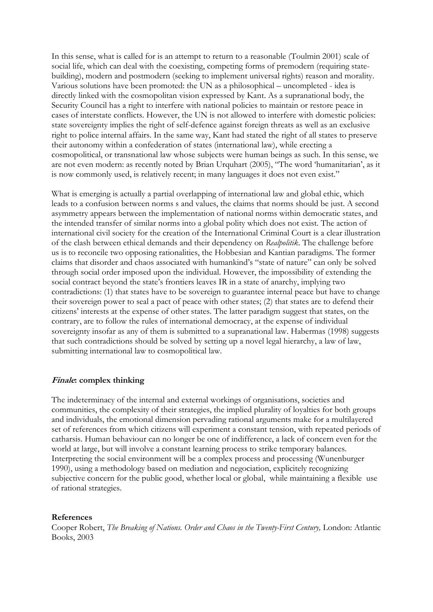In this sense, what is called for is an attempt to return to a reasonable (Toulmin 2001) scale of social life, which can deal with the coexisting, competing forms of premodern (requiring statebuilding), modern and postmodern (seeking to implement universal rights) reason and morality. Various solutions have been promoted: the UN as a philosophical – uncompleted - idea is directly linked with the cosmopolitan vision expressed by Kant. As a supranational body, the Security Council has a right to interfere with national policies to maintain or restore peace in cases of interstate conflicts. However, the UN is not allowed to interfere with domestic policies: state sovereignty implies the right of self-defence against foreign threats as well as an exclusive right to police internal affairs. In the same way, Kant had stated the right of all states to preserve their autonomy within a confederation of states (international law), while erecting a cosmopolitical, or transnational law whose subjects were human beings as such. In this sense, we are not even modern: as recently noted by Brian Urquhart (2005), "The word 'humanitarian', as it is now commonly used, is relatively recent; in many languages it does not even exist."

What is emerging is actually a partial overlapping of international law and global ethic, which leads to a confusion between norms s and values, the claims that norms should be just. A second asymmetry appears between the implementation of national norms within democratic states, and the intended transfer of similar norms into a global polity which does not exist. The action of international civil society for the creation of the International Criminal Court is a clear illustration of the clash between ethical demands and their dependency on *Realpolitik*. The challenge before us is to reconcile two opposing rationalities, the Hobbesian and Kantian paradigms. The former claims that disorder and chaos associated with humankind's "state of nature" can only be solved through social order imposed upon the individual. However, the impossibility of extending the social contract beyond the state's frontiers leaves IR in a state of anarchy, implying two contradictions: (1) that states have to be sovereign to guarantee internal peace but have to change their sovereign power to seal a pact of peace with other states; (2) that states are to defend their citizens' interests at the expense of other states. The latter paradigm suggest that states, on the contrary, are to follow the rules of international democracy, at the expense of individual sovereignty insofar as any of them is submitted to a supranational law. Habermas (1998) suggests that such contradictions should be solved by setting up a novel legal hierarchy, a law of law, submitting international law to cosmopolitical law.

### **Finale: complex thinking**

The indeterminacy of the internal and external workings of organisations, societies and communities, the complexity of their strategies, the implied plurality of loyalties for both groups and individuals, the emotional dimension pervading rational arguments make for a multilayered set of references from which citizens will experiment a constant tension, with repeated periods of catharsis. Human behaviour can no longer be one of indifference, a lack of concern even for the world at large, but will involve a constant learning process to strike temporary balances. Interpreting the social environment will be a complex process and processing (Wunenburger 1990), using a methodology based on mediation and negociation, explicitely recognizing subjective concern for the public good, whether local or global, while maintaining a flexible use of rational strategies.

#### **References**

Cooper Robert, *The Breaking of Nations. Order and Chaos in the Twenty-First Century*, London: Atlantic Books, 2003